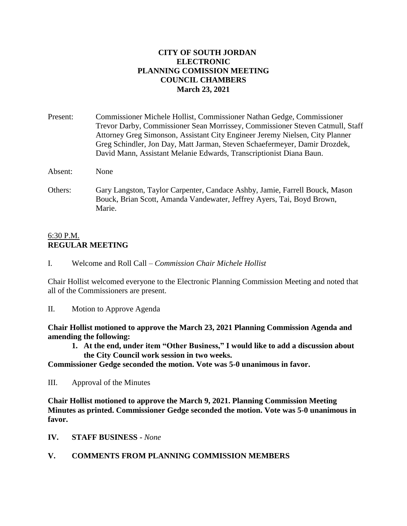### **CITY OF SOUTH JORDAN ELECTRONIC PLANNING COMISSION MEETING COUNCIL CHAMBERS March 23, 2021**

Present: Commissioner Michele Hollist, Commissioner Nathan Gedge, Commissioner Trevor Darby, Commissioner Sean Morrissey, Commissioner Steven Catmull, Staff Attorney Greg Simonson, Assistant City Engineer Jeremy Nielsen, City Planner Greg Schindler, Jon Day, Matt Jarman, Steven Schaefermeyer, Damir Drozdek, David Mann, Assistant Melanie Edwards, Transcriptionist Diana Baun.

Absent: None

Others: Gary Langston, Taylor Carpenter, Candace Ashby, Jamie, Farrell Bouck, Mason Bouck, Brian Scott, Amanda Vandewater, Jeffrey Ayers, Tai, Boyd Brown, Marie.

#### 6:30 P.M. **REGULAR MEETING**

I. Welcome and Roll Call – *Commission Chair Michele Hollist*

Chair Hollist welcomed everyone to the Electronic Planning Commission Meeting and noted that all of the Commissioners are present.

II. Motion to Approve Agenda

**Chair Hollist motioned to approve the March 23, 2021 Planning Commission Agenda and amending the following:**

**1. At the end, under item "Other Business," I would like to add a discussion about the City Council work session in two weeks.**

**Commissioner Gedge seconded the motion. Vote was 5-0 unanimous in favor.**

III. Approval of the Minutes

**Chair Hollist motioned to approve the March 9, 2021. Planning Commission Meeting Minutes as printed. Commissioner Gedge seconded the motion. Vote was 5-0 unanimous in favor.**

**IV. STAFF BUSINESS -** *None*

#### **V. COMMENTS FROM PLANNING COMMISSION MEMBERS**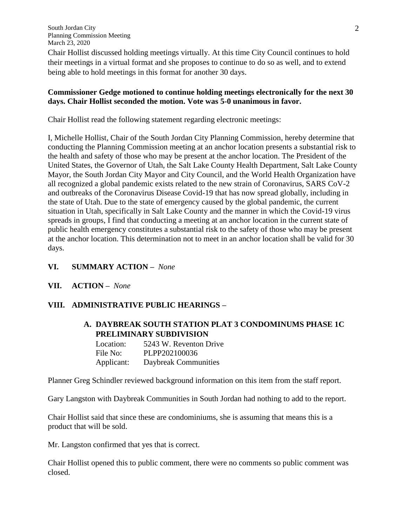Chair Hollist discussed holding meetings virtually. At this time City Council continues to hold their meetings in a virtual format and she proposes to continue to do so as well, and to extend being able to hold meetings in this format for another 30 days.

### **Commissioner Gedge motioned to continue holding meetings electronically for the next 30 days. Chair Hollist seconded the motion. Vote was 5-0 unanimous in favor.**

Chair Hollist read the following statement regarding electronic meetings:

I, Michelle Hollist, Chair of the South Jordan City Planning Commission, hereby determine that conducting the Planning Commission meeting at an anchor location presents a substantial risk to the health and safety of those who may be present at the anchor location. The President of the United States, the Governor of Utah, the Salt Lake County Health Department, Salt Lake County Mayor, the South Jordan City Mayor and City Council, and the World Health Organization have all recognized a global pandemic exists related to the new strain of Coronavirus, SARS CoV-2 and outbreaks of the Coronavirus Disease Covid-19 that has now spread globally, including in the state of Utah. Due to the state of emergency caused by the global pandemic, the current situation in Utah, specifically in Salt Lake County and the manner in which the Covid-19 virus spreads in groups, I find that conducting a meeting at an anchor location in the current state of public health emergency constitutes a substantial risk to the safety of those who may be present at the anchor location. This determination not to meet in an anchor location shall be valid for 30 days.

- **VI. SUMMARY ACTION –** *None*
- **VII. ACTION –** *None*

# **VIII. ADMINISTRATIVE PUBLIC HEARINGS –**

# **A. DAYBREAK SOUTH STATION PLAT 3 CONDOMINUMS PHASE 1C PRELIMINARY SUBDIVISION**

| Location:  | 5243 W. Reventon Drive |
|------------|------------------------|
| File No:   | PLPP202100036          |
| Applicant: | Daybreak Communities   |

Planner Greg Schindler reviewed background information on this item from the staff report.

Gary Langston with Daybreak Communities in South Jordan had nothing to add to the report.

Chair Hollist said that since these are condominiums, she is assuming that means this is a product that will be sold.

Mr. Langston confirmed that yes that is correct.

Chair Hollist opened this to public comment, there were no comments so public comment was closed.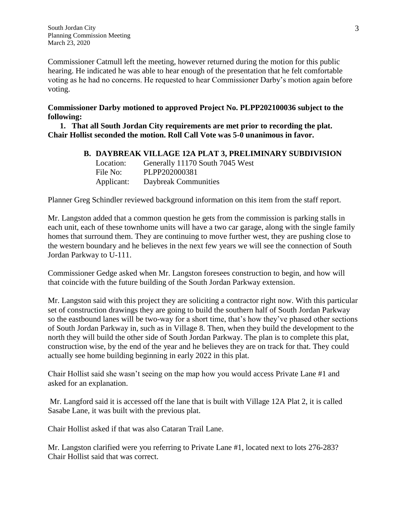Commissioner Catmull left the meeting, however returned during the motion for this public hearing. He indicated he was able to hear enough of the presentation that he felt comfortable voting as he had no concerns. He requested to hear Commissioner Darby's motion again before voting.

# **Commissioner Darby motioned to approved Project No. PLPP202100036 subject to the following:**

**1. That all South Jordan City requirements are met prior to recording the plat. Chair Hollist seconded the motion. Roll Call Vote was 5-0 unanimous in favor.**

# **B. DAYBREAK VILLAGE 12A PLAT 3, PRELIMINARY SUBDIVISION**

Location: Generally 11170 South 7045 West File No: PLPP202000381 Applicant: Daybreak Communities

Planner Greg Schindler reviewed background information on this item from the staff report.

Mr. Langston added that a common question he gets from the commission is parking stalls in each unit, each of these townhome units will have a two car garage, along with the single family homes that surround them. They are continuing to move further west, they are pushing close to the western boundary and he believes in the next few years we will see the connection of South Jordan Parkway to U-111.

Commissioner Gedge asked when Mr. Langston foresees construction to begin, and how will that coincide with the future building of the South Jordan Parkway extension.

Mr. Langston said with this project they are soliciting a contractor right now. With this particular set of construction drawings they are going to build the southern half of South Jordan Parkway so the eastbound lanes will be two-way for a short time, that's how they've phased other sections of South Jordan Parkway in, such as in Village 8. Then, when they build the development to the north they will build the other side of South Jordan Parkway. The plan is to complete this plat, construction wise, by the end of the year and he believes they are on track for that. They could actually see home building beginning in early 2022 in this plat.

Chair Hollist said she wasn't seeing on the map how you would access Private Lane #1 and asked for an explanation.

Mr. Langford said it is accessed off the lane that is built with Village 12A Plat 2, it is called Sasabe Lane, it was built with the previous plat.

Chair Hollist asked if that was also Cataran Trail Lane.

Mr. Langston clarified were you referring to Private Lane #1, located next to lots 276-283? Chair Hollist said that was correct.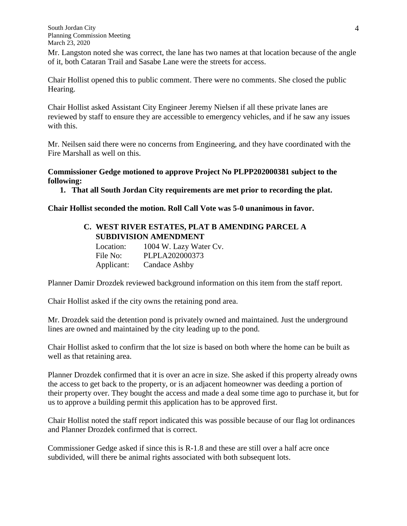Mr. Langston noted she was correct, the lane has two names at that location because of the angle of it, both Cataran Trail and Sasabe Lane were the streets for access.

Chair Hollist opened this to public comment. There were no comments. She closed the public Hearing.

Chair Hollist asked Assistant City Engineer Jeremy Nielsen if all these private lanes are reviewed by staff to ensure they are accessible to emergency vehicles, and if he saw any issues with this.

Mr. Neilsen said there were no concerns from Engineering, and they have coordinated with the Fire Marshall as well on this.

### **Commissioner Gedge motioned to approve Project No PLPP202000381 subject to the following:**

**1. That all South Jordan City requirements are met prior to recording the plat.**

### **Chair Hollist seconded the motion. Roll Call Vote was 5-0 unanimous in favor.**

# **C. WEST RIVER ESTATES, PLAT B AMENDING PARCEL A SUBDIVISION AMENDMENT**

| Location:  | 1004 W. Lazy Water Cv. |
|------------|------------------------|
| File No:   | PLPLA202000373         |
| Applicant: | Candace Ashby          |

Planner Damir Drozdek reviewed background information on this item from the staff report.

Chair Hollist asked if the city owns the retaining pond area.

Mr. Drozdek said the detention pond is privately owned and maintained. Just the underground lines are owned and maintained by the city leading up to the pond.

Chair Hollist asked to confirm that the lot size is based on both where the home can be built as well as that retaining area.

Planner Drozdek confirmed that it is over an acre in size. She asked if this property already owns the access to get back to the property, or is an adjacent homeowner was deeding a portion of their property over. They bought the access and made a deal some time ago to purchase it, but for us to approve a building permit this application has to be approved first.

Chair Hollist noted the staff report indicated this was possible because of our flag lot ordinances and Planner Drozdek confirmed that is correct.

Commissioner Gedge asked if since this is R-1.8 and these are still over a half acre once subdivided, will there be animal rights associated with both subsequent lots.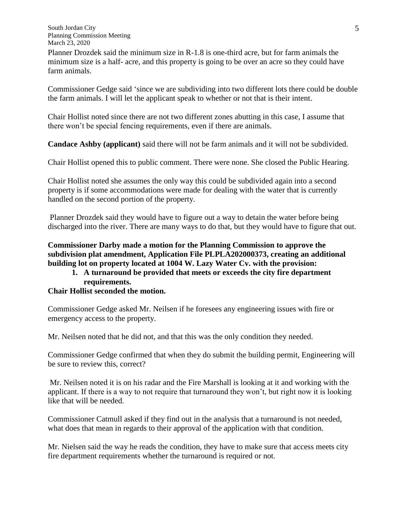Planner Drozdek said the minimum size in R-1.8 is one-third acre, but for farm animals the minimum size is a half- acre, and this property is going to be over an acre so they could have farm animals.

Commissioner Gedge said 'since we are subdividing into two different lots there could be double the farm animals. I will let the applicant speak to whether or not that is their intent.

Chair Hollist noted since there are not two different zones abutting in this case, I assume that there won't be special fencing requirements, even if there are animals.

**Candace Ashby (applicant)** said there will not be farm animals and it will not be subdivided.

Chair Hollist opened this to public comment. There were none. She closed the Public Hearing.

Chair Hollist noted she assumes the only way this could be subdivided again into a second property is if some accommodations were made for dealing with the water that is currently handled on the second portion of the property.

Planner Drozdek said they would have to figure out a way to detain the water before being discharged into the river. There are many ways to do that, but they would have to figure that out.

# **Commissioner Darby made a motion for the Planning Commission to approve the subdivision plat amendment, Application File PLPLA202000373, creating an additional building lot on property located at 1004 W. Lazy Water Cv. with the provision:**

# **1. A turnaround be provided that meets or exceeds the city fire department requirements.**

# **Chair Hollist seconded the motion.**

Commissioner Gedge asked Mr. Neilsen if he foresees any engineering issues with fire or emergency access to the property.

Mr. Neilsen noted that he did not, and that this was the only condition they needed.

Commissioner Gedge confirmed that when they do submit the building permit, Engineering will be sure to review this, correct?

Mr. Neilsen noted it is on his radar and the Fire Marshall is looking at it and working with the applicant. If there is a way to not require that turnaround they won't, but right now it is looking like that will be needed.

Commissioner Catmull asked if they find out in the analysis that a turnaround is not needed, what does that mean in regards to their approval of the application with that condition.

Mr. Nielsen said the way he reads the condition, they have to make sure that access meets city fire department requirements whether the turnaround is required or not.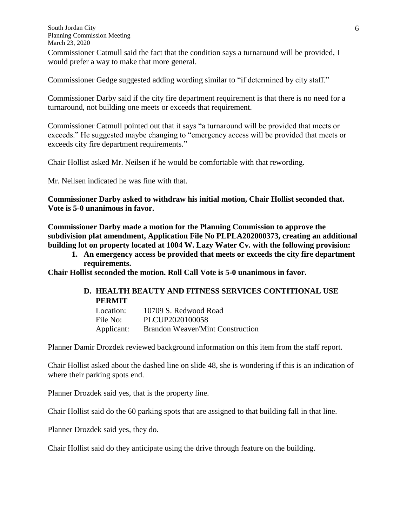Commissioner Catmull said the fact that the condition says a turnaround will be provided, I would prefer a way to make that more general.

Commissioner Gedge suggested adding wording similar to "if determined by city staff."

Commissioner Darby said if the city fire department requirement is that there is no need for a turnaround, not building one meets or exceeds that requirement.

Commissioner Catmull pointed out that it says "a turnaround will be provided that meets or exceeds." He suggested maybe changing to "emergency access will be provided that meets or exceeds city fire department requirements."

Chair Hollist asked Mr. Neilsen if he would be comfortable with that rewording.

Mr. Neilsen indicated he was fine with that.

**Commissioner Darby asked to withdraw his initial motion, Chair Hollist seconded that. Vote is 5-0 unanimous in favor.**

**Commissioner Darby made a motion for the Planning Commission to approve the subdivision plat amendment, Application File No PLPLA202000373, creating an additional building lot on property located at 1004 W. Lazy Water Cv. with the following provision:**

**1. An emergency access be provided that meets or exceeds the city fire department requirements.**

**Chair Hollist seconded the motion. Roll Call Vote is 5-0 unanimous in favor.**

### **D. HEALTH BEAUTY AND FITNESS SERVICES CONTITIONAL USE PERMIT**

| Location:  | 10709 S. Redwood Road                   |
|------------|-----------------------------------------|
| File No:   | PLCUP2020100058                         |
| Applicant: | <b>Brandon Weaver/Mint Construction</b> |

Planner Damir Drozdek reviewed background information on this item from the staff report.

Chair Hollist asked about the dashed line on slide 48, she is wondering if this is an indication of where their parking spots end.

Planner Drozdek said yes, that is the property line.

Chair Hollist said do the 60 parking spots that are assigned to that building fall in that line.

Planner Drozdek said yes, they do.

Chair Hollist said do they anticipate using the drive through feature on the building.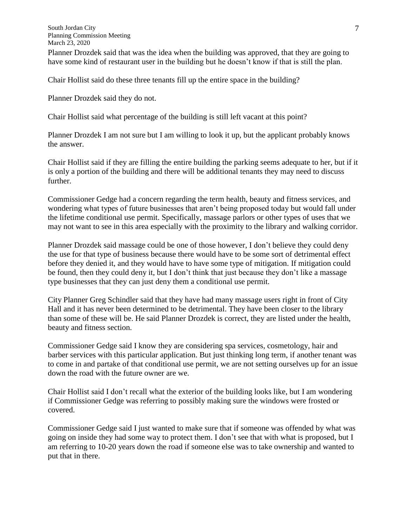Planner Drozdek said that was the idea when the building was approved, that they are going to have some kind of restaurant user in the building but he doesn't know if that is still the plan.

Chair Hollist said do these three tenants fill up the entire space in the building?

Planner Drozdek said they do not.

Chair Hollist said what percentage of the building is still left vacant at this point?

Planner Drozdek I am not sure but I am willing to look it up, but the applicant probably knows the answer.

Chair Hollist said if they are filling the entire building the parking seems adequate to her, but if it is only a portion of the building and there will be additional tenants they may need to discuss further.

Commissioner Gedge had a concern regarding the term health, beauty and fitness services, and wondering what types of future businesses that aren't being proposed today but would fall under the lifetime conditional use permit. Specifically, massage parlors or other types of uses that we may not want to see in this area especially with the proximity to the library and walking corridor.

Planner Drozdek said massage could be one of those however, I don't believe they could deny the use for that type of business because there would have to be some sort of detrimental effect before they denied it, and they would have to have some type of mitigation. If mitigation could be found, then they could deny it, but I don't think that just because they don't like a massage type businesses that they can just deny them a conditional use permit.

City Planner Greg Schindler said that they have had many massage users right in front of City Hall and it has never been determined to be detrimental. They have been closer to the library than some of these will be. He said Planner Drozdek is correct, they are listed under the health, beauty and fitness section.

Commissioner Gedge said I know they are considering spa services, cosmetology, hair and barber services with this particular application. But just thinking long term, if another tenant was to come in and partake of that conditional use permit, we are not setting ourselves up for an issue down the road with the future owner are we.

Chair Hollist said I don't recall what the exterior of the building looks like, but I am wondering if Commissioner Gedge was referring to possibly making sure the windows were frosted or covered.

Commissioner Gedge said I just wanted to make sure that if someone was offended by what was going on inside they had some way to protect them. I don't see that with what is proposed, but I am referring to 10-20 years down the road if someone else was to take ownership and wanted to put that in there.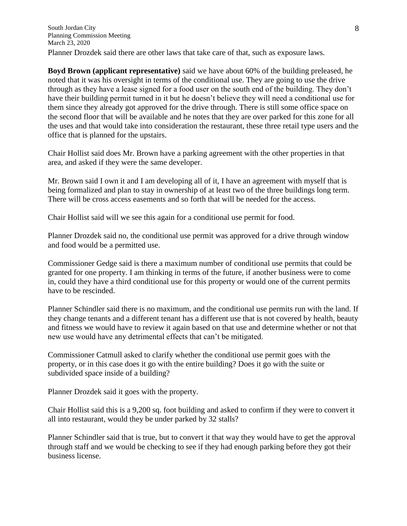**Boyd Brown (applicant representative)** said we have about 60% of the building preleased, he noted that it was his oversight in terms of the conditional use. They are going to use the drive through as they have a lease signed for a food user on the south end of the building. They don't have their building permit turned in it but he doesn't believe they will need a conditional use for them since they already got approved for the drive through. There is still some office space on the second floor that will be available and he notes that they are over parked for this zone for all the uses and that would take into consideration the restaurant, these three retail type users and the office that is planned for the upstairs.

Chair Hollist said does Mr. Brown have a parking agreement with the other properties in that area, and asked if they were the same developer.

Mr. Brown said I own it and I am developing all of it, I have an agreement with myself that is being formalized and plan to stay in ownership of at least two of the three buildings long term. There will be cross access easements and so forth that will be needed for the access.

Chair Hollist said will we see this again for a conditional use permit for food.

Planner Drozdek said no, the conditional use permit was approved for a drive through window and food would be a permitted use.

Commissioner Gedge said is there a maximum number of conditional use permits that could be granted for one property. I am thinking in terms of the future, if another business were to come in, could they have a third conditional use for this property or would one of the current permits have to be rescinded.

Planner Schindler said there is no maximum, and the conditional use permits run with the land. If they change tenants and a different tenant has a different use that is not covered by health, beauty and fitness we would have to review it again based on that use and determine whether or not that new use would have any detrimental effects that can't be mitigated.

Commissioner Catmull asked to clarify whether the conditional use permit goes with the property, or in this case does it go with the entire building? Does it go with the suite or subdivided space inside of a building?

Planner Drozdek said it goes with the property.

Chair Hollist said this is a 9,200 sq. foot building and asked to confirm if they were to convert it all into restaurant, would they be under parked by 32 stalls?

Planner Schindler said that is true, but to convert it that way they would have to get the approval through staff and we would be checking to see if they had enough parking before they got their business license.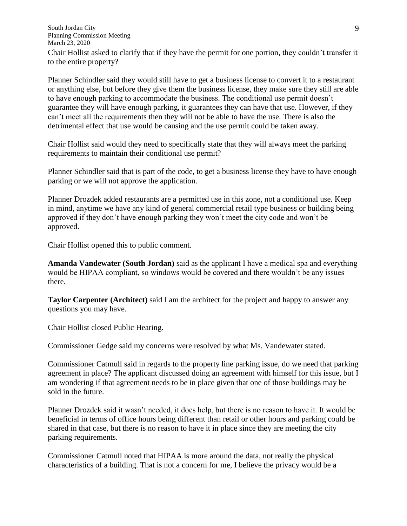South Jordan City Planning Commission Meeting March 23, 2020 Chair Hollist asked to clarify that if they have the permit for one portion, they couldn't transfer it to the entire property?

Planner Schindler said they would still have to get a business license to convert it to a restaurant or anything else, but before they give them the business license, they make sure they still are able to have enough parking to accommodate the business. The conditional use permit doesn't guarantee they will have enough parking, it guarantees they can have that use. However, if they can't meet all the requirements then they will not be able to have the use. There is also the detrimental effect that use would be causing and the use permit could be taken away.

Chair Hollist said would they need to specifically state that they will always meet the parking requirements to maintain their conditional use permit?

Planner Schindler said that is part of the code, to get a business license they have to have enough parking or we will not approve the application.

Planner Drozdek added restaurants are a permitted use in this zone, not a conditional use. Keep in mind, anytime we have any kind of general commercial retail type business or building being approved if they don't have enough parking they won't meet the city code and won't be approved.

Chair Hollist opened this to public comment.

**Amanda Vandewater (South Jordan)** said as the applicant I have a medical spa and everything would be HIPAA compliant, so windows would be covered and there wouldn't be any issues there.

**Taylor Carpenter (Architect)** said I am the architect for the project and happy to answer any questions you may have.

Chair Hollist closed Public Hearing.

Commissioner Gedge said my concerns were resolved by what Ms. Vandewater stated.

Commissioner Catmull said in regards to the property line parking issue, do we need that parking agreement in place? The applicant discussed doing an agreement with himself for this issue, but I am wondering if that agreement needs to be in place given that one of those buildings may be sold in the future.

Planner Drozdek said it wasn't needed, it does help, but there is no reason to have it. It would be beneficial in terms of office hours being different than retail or other hours and parking could be shared in that case, but there is no reason to have it in place since they are meeting the city parking requirements.

Commissioner Catmull noted that HIPAA is more around the data, not really the physical characteristics of a building. That is not a concern for me, I believe the privacy would be a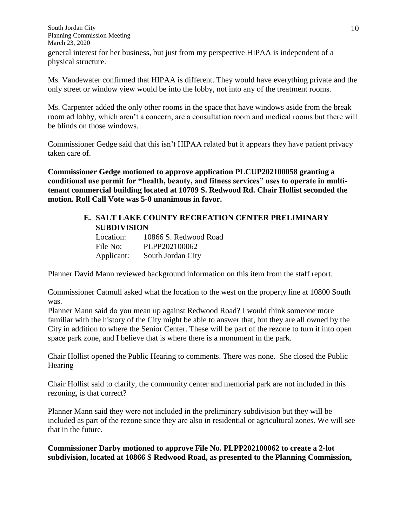South Jordan City Planning Commission Meeting March 23, 2020 general interest for her business, but just from my perspective HIPAA is independent of a physical structure.

Ms. Vandewater confirmed that HIPAA is different. They would have everything private and the only street or window view would be into the lobby, not into any of the treatment rooms.

Ms. Carpenter added the only other rooms in the space that have windows aside from the break room ad lobby, which aren't a concern, are a consultation room and medical rooms but there will be blinds on those windows.

Commissioner Gedge said that this isn't HIPAA related but it appears they have patient privacy taken care of.

**Commissioner Gedge motioned to approve application PLCUP202100058 granting a conditional use permit for "health, beauty, and fitness services" uses to operate in multitenant commercial building located at 10709 S. Redwood Rd. Chair Hollist seconded the motion. Roll Call Vote was 5-0 unanimous in favor.** 

# **E. SALT LAKE COUNTY RECREATION CENTER PRELIMINARY SUBDIVISION**

Location: 10866 S. Redwood Road File No: PLPP202100062 Applicant: South Jordan City

Planner David Mann reviewed background information on this item from the staff report.

Commissioner Catmull asked what the location to the west on the property line at 10800 South was.

Planner Mann said do you mean up against Redwood Road? I would think someone more familiar with the history of the City might be able to answer that, but they are all owned by the City in addition to where the Senior Center. These will be part of the rezone to turn it into open space park zone, and I believe that is where there is a monument in the park.

Chair Hollist opened the Public Hearing to comments. There was none. She closed the Public **Hearing** 

Chair Hollist said to clarify, the community center and memorial park are not included in this rezoning, is that correct?

Planner Mann said they were not included in the preliminary subdivision but they will be included as part of the rezone since they are also in residential or agricultural zones. We will see that in the future.

**Commissioner Darby motioned to approve File No. PLPP202100062 to create a 2-lot subdivision, located at 10866 S Redwood Road, as presented to the Planning Commission,**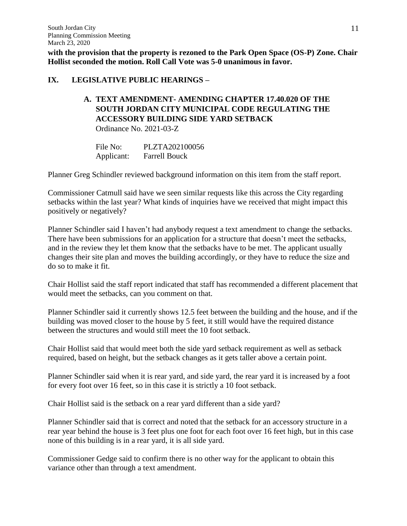**with the provision that the property is rezoned to the Park Open Space (OS-P) Zone. Chair Hollist seconded the motion. Roll Call Vote was 5-0 unanimous in favor.**

### **IX. LEGISLATIVE PUBLIC HEARINGS –**

# **A. TEXT AMENDMENT- AMENDING CHAPTER 17.40.020 OF THE SOUTH JORDAN CITY MUNICIPAL CODE REGULATING THE ACCESSORY BUILDING SIDE YARD SETBACK** Ordinance No. 2021-03-Z

File No: PLZTA202100056 Applicant: Farrell Bouck

Planner Greg Schindler reviewed background information on this item from the staff report.

Commissioner Catmull said have we seen similar requests like this across the City regarding setbacks within the last year? What kinds of inquiries have we received that might impact this positively or negatively?

Planner Schindler said I haven't had anybody request a text amendment to change the setbacks. There have been submissions for an application for a structure that doesn't meet the setbacks, and in the review they let them know that the setbacks have to be met. The applicant usually changes their site plan and moves the building accordingly, or they have to reduce the size and do so to make it fit.

Chair Hollist said the staff report indicated that staff has recommended a different placement that would meet the setbacks, can you comment on that.

Planner Schindler said it currently shows 12.5 feet between the building and the house, and if the building was moved closer to the house by 5 feet, it still would have the required distance between the structures and would still meet the 10 foot setback.

Chair Hollist said that would meet both the side yard setback requirement as well as setback required, based on height, but the setback changes as it gets taller above a certain point.

Planner Schindler said when it is rear yard, and side yard, the rear yard it is increased by a foot for every foot over 16 feet, so in this case it is strictly a 10 foot setback.

Chair Hollist said is the setback on a rear yard different than a side yard?

Planner Schindler said that is correct and noted that the setback for an accessory structure in a rear year behind the house is 3 feet plus one foot for each foot over 16 feet high, but in this case none of this building is in a rear yard, it is all side yard.

Commissioner Gedge said to confirm there is no other way for the applicant to obtain this variance other than through a text amendment.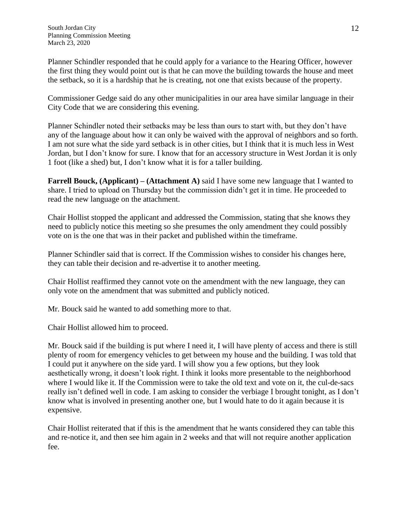Planner Schindler responded that he could apply for a variance to the Hearing Officer, however the first thing they would point out is that he can move the building towards the house and meet the setback, so it is a hardship that he is creating, not one that exists because of the property.

Commissioner Gedge said do any other municipalities in our area have similar language in their City Code that we are considering this evening.

Planner Schindler noted their setbacks may be less than ours to start with, but they don't have any of the language about how it can only be waived with the approval of neighbors and so forth. I am not sure what the side yard setback is in other cities, but I think that it is much less in West Jordan, but I don't know for sure. I know that for an accessory structure in West Jordan it is only 1 foot (like a shed) but, I don't know what it is for a taller building.

**Farrell Bouck, (Applicant) – (Attachment A)** said I have some new language that I wanted to share. I tried to upload on Thursday but the commission didn't get it in time. He proceeded to read the new language on the attachment.

Chair Hollist stopped the applicant and addressed the Commission, stating that she knows they need to publicly notice this meeting so she presumes the only amendment they could possibly vote on is the one that was in their packet and published within the timeframe.

Planner Schindler said that is correct. If the Commission wishes to consider his changes here, they can table their decision and re-advertise it to another meeting.

Chair Hollist reaffirmed they cannot vote on the amendment with the new language, they can only vote on the amendment that was submitted and publicly noticed.

Mr. Bouck said he wanted to add something more to that.

Chair Hollist allowed him to proceed.

Mr. Bouck said if the building is put where I need it, I will have plenty of access and there is still plenty of room for emergency vehicles to get between my house and the building. I was told that I could put it anywhere on the side yard. I will show you a few options, but they look aesthetically wrong, it doesn't look right. I think it looks more presentable to the neighborhood where I would like it. If the Commission were to take the old text and vote on it, the cul-de-sacs really isn't defined well in code. I am asking to consider the verbiage I brought tonight, as I don't know what is involved in presenting another one, but I would hate to do it again because it is expensive.

Chair Hollist reiterated that if this is the amendment that he wants considered they can table this and re-notice it, and then see him again in 2 weeks and that will not require another application fee.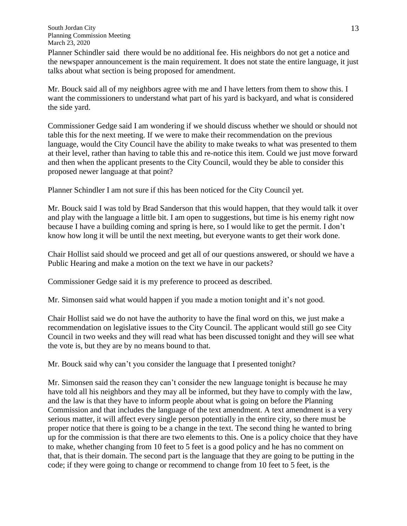Planner Schindler said there would be no additional fee. His neighbors do not get a notice and the newspaper announcement is the main requirement. It does not state the entire language, it just talks about what section is being proposed for amendment.

Mr. Bouck said all of my neighbors agree with me and I have letters from them to show this. I want the commissioners to understand what part of his yard is backyard, and what is considered the side yard.

Commissioner Gedge said I am wondering if we should discuss whether we should or should not table this for the next meeting. If we were to make their recommendation on the previous language, would the City Council have the ability to make tweaks to what was presented to them at their level, rather than having to table this and re-notice this item. Could we just move forward and then when the applicant presents to the City Council, would they be able to consider this proposed newer language at that point?

Planner Schindler I am not sure if this has been noticed for the City Council yet.

Mr. Bouck said I was told by Brad Sanderson that this would happen, that they would talk it over and play with the language a little bit. I am open to suggestions, but time is his enemy right now because I have a building coming and spring is here, so I would like to get the permit. I don't know how long it will be until the next meeting, but everyone wants to get their work done.

Chair Hollist said should we proceed and get all of our questions answered, or should we have a Public Hearing and make a motion on the text we have in our packets?

Commissioner Gedge said it is my preference to proceed as described.

Mr. Simonsen said what would happen if you made a motion tonight and it's not good.

Chair Hollist said we do not have the authority to have the final word on this, we just make a recommendation on legislative issues to the City Council. The applicant would still go see City Council in two weeks and they will read what has been discussed tonight and they will see what the vote is, but they are by no means bound to that.

Mr. Bouck said why can't you consider the language that I presented tonight?

Mr. Simonsen said the reason they can't consider the new language tonight is because he may have told all his neighbors and they may all be informed, but they have to comply with the law, and the law is that they have to inform people about what is going on before the Planning Commission and that includes the language of the text amendment. A text amendment is a very serious matter, it will affect every single person potentially in the entire city, so there must be proper notice that there is going to be a change in the text. The second thing he wanted to bring up for the commission is that there are two elements to this. One is a policy choice that they have to make, whether changing from 10 feet to 5 feet is a good policy and he has no comment on that, that is their domain. The second part is the language that they are going to be putting in the code; if they were going to change or recommend to change from 10 feet to 5 feet, is the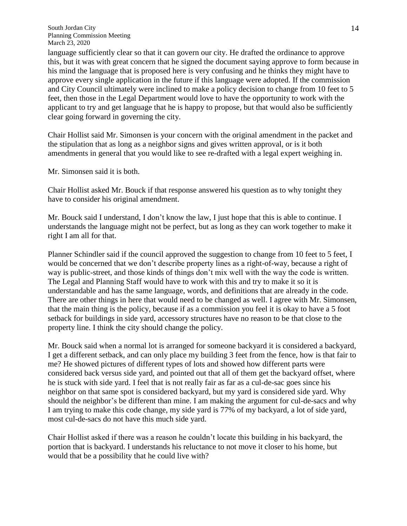language sufficiently clear so that it can govern our city. He drafted the ordinance to approve this, but it was with great concern that he signed the document saying approve to form because in his mind the language that is proposed here is very confusing and he thinks they might have to approve every single application in the future if this language were adopted. If the commission and City Council ultimately were inclined to make a policy decision to change from 10 feet to 5 feet, then those in the Legal Department would love to have the opportunity to work with the applicant to try and get language that he is happy to propose, but that would also be sufficiently clear going forward in governing the city.

Chair Hollist said Mr. Simonsen is your concern with the original amendment in the packet and the stipulation that as long as a neighbor signs and gives written approval, or is it both amendments in general that you would like to see re-drafted with a legal expert weighing in.

Mr. Simonsen said it is both.

Chair Hollist asked Mr. Bouck if that response answered his question as to why tonight they have to consider his original amendment.

Mr. Bouck said I understand, I don't know the law, I just hope that this is able to continue. I understands the language might not be perfect, but as long as they can work together to make it right I am all for that.

Planner Schindler said if the council approved the suggestion to change from 10 feet to 5 feet, I would be concerned that we don't describe property lines as a right-of-way, because a right of way is public-street, and those kinds of things don't mix well with the way the code is written. The Legal and Planning Staff would have to work with this and try to make it so it is understandable and has the same language, words, and definitions that are already in the code. There are other things in here that would need to be changed as well. I agree with Mr. Simonsen, that the main thing is the policy, because if as a commission you feel it is okay to have a 5 foot setback for buildings in side yard, accessory structures have no reason to be that close to the property line. I think the city should change the policy.

Mr. Bouck said when a normal lot is arranged for someone backyard it is considered a backyard, I get a different setback, and can only place my building 3 feet from the fence, how is that fair to me? He showed pictures of different types of lots and showed how different parts were considered back versus side yard, and pointed out that all of them get the backyard offset, where he is stuck with side yard. I feel that is not really fair as far as a cul-de-sac goes since his neighbor on that same spot is considered backyard, but my yard is considered side yard. Why should the neighbor's be different than mine. I am making the argument for cul-de-sacs and why I am trying to make this code change, my side yard is 77% of my backyard, a lot of side yard, most cul-de-sacs do not have this much side yard.

Chair Hollist asked if there was a reason he couldn't locate this building in his backyard, the portion that is backyard. I understands his reluctance to not move it closer to his home, but would that be a possibility that he could live with?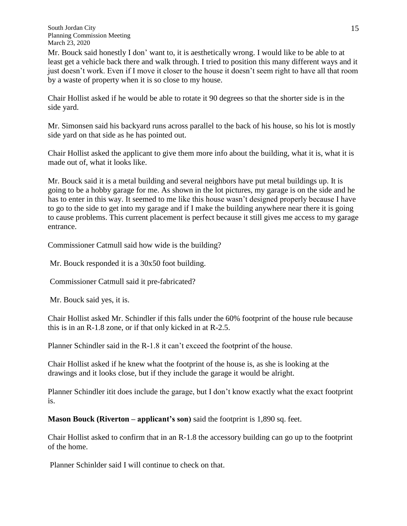Mr. Bouck said honestly I don' want to, it is aesthetically wrong. I would like to be able to at least get a vehicle back there and walk through. I tried to position this many different ways and it just doesn't work. Even if I move it closer to the house it doesn't seem right to have all that room by a waste of property when it is so close to my house.

Chair Hollist asked if he would be able to rotate it 90 degrees so that the shorter side is in the side yard.

Mr. Simonsen said his backyard runs across parallel to the back of his house, so his lot is mostly side yard on that side as he has pointed out.

Chair Hollist asked the applicant to give them more info about the building, what it is, what it is made out of, what it looks like.

Mr. Bouck said it is a metal building and several neighbors have put metal buildings up. It is going to be a hobby garage for me. As shown in the lot pictures, my garage is on the side and he has to enter in this way. It seemed to me like this house wasn't designed properly because I have to go to the side to get into my garage and if I make the building anywhere near there it is going to cause problems. This current placement is perfect because it still gives me access to my garage entrance.

Commissioner Catmull said how wide is the building?

Mr. Bouck responded it is a 30x50 foot building.

Commissioner Catmull said it pre-fabricated?

Mr. Bouck said yes, it is.

Chair Hollist asked Mr. Schindler if this falls under the 60% footprint of the house rule because this is in an R-1.8 zone, or if that only kicked in at R-2.5.

Planner Schindler said in the R-1.8 it can't exceed the footprint of the house.

Chair Hollist asked if he knew what the footprint of the house is, as she is looking at the drawings and it looks close, but if they include the garage it would be alright.

Planner Schindler itit does include the garage, but I don't know exactly what the exact footprint is.

**Mason Bouck (Riverton – applicant's son)** said the footprint is 1,890 sq. feet.

Chair Hollist asked to confirm that in an R-1.8 the accessory building can go up to the footprint of the home.

Planner Schinlder said I will continue to check on that.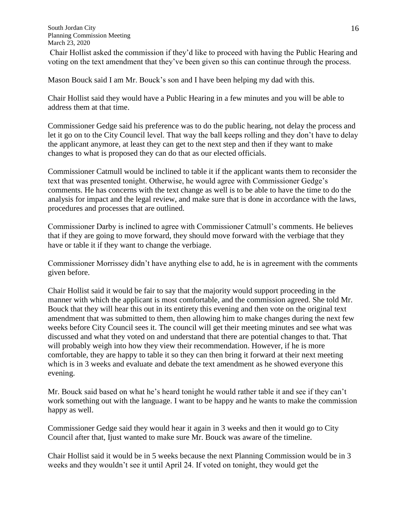Chair Hollist asked the commission if they'd like to proceed with having the Public Hearing and voting on the text amendment that they've been given so this can continue through the process.

Mason Bouck said I am Mr. Bouck's son and I have been helping my dad with this.

Chair Hollist said they would have a Public Hearing in a few minutes and you will be able to address them at that time.

Commissioner Gedge said his preference was to do the public hearing, not delay the process and let it go on to the City Council level. That way the ball keeps rolling and they don't have to delay the applicant anymore, at least they can get to the next step and then if they want to make changes to what is proposed they can do that as our elected officials.

Commissioner Catmull would be inclined to table it if the applicant wants them to reconsider the text that was presented tonight. Otherwise, he would agree with Commissioner Gedge's comments. He has concerns with the text change as well is to be able to have the time to do the analysis for impact and the legal review, and make sure that is done in accordance with the laws, procedures and processes that are outlined.

Commissioner Darby is inclined to agree with Commissioner Catmull's comments. He believes that if they are going to move forward, they should move forward with the verbiage that they have or table it if they want to change the verbiage.

Commissioner Morrissey didn't have anything else to add, he is in agreement with the comments given before.

Chair Hollist said it would be fair to say that the majority would support proceeding in the manner with which the applicant is most comfortable, and the commission agreed. She told Mr. Bouck that they will hear this out in its entirety this evening and then vote on the original text amendment that was submitted to them, then allowing him to make changes during the next few weeks before City Council sees it. The council will get their meeting minutes and see what was discussed and what they voted on and understand that there are potential changes to that. That will probably weigh into how they view their recommendation. However, if he is more comfortable, they are happy to table it so they can then bring it forward at their next meeting which is in 3 weeks and evaluate and debate the text amendment as he showed everyone this evening.

Mr. Bouck said based on what he's heard tonight he would rather table it and see if they can't work something out with the language. I want to be happy and he wants to make the commission happy as well.

Commissioner Gedge said they would hear it again in 3 weeks and then it would go to City Council after that, Ijust wanted to make sure Mr. Bouck was aware of the timeline.

Chair Hollist said it would be in 5 weeks because the next Planning Commission would be in 3 weeks and they wouldn't see it until April 24. If voted on tonight, they would get the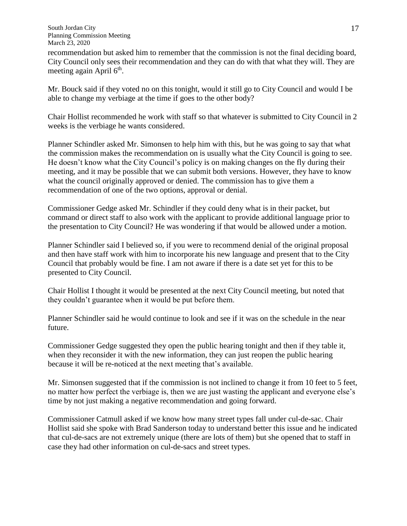recommendation but asked him to remember that the commission is not the final deciding board, City Council only sees their recommendation and they can do with that what they will. They are meeting again April 6<sup>th</sup>.

Mr. Bouck said if they voted no on this tonight, would it still go to City Council and would I be able to change my verbiage at the time if goes to the other body?

Chair Hollist recommended he work with staff so that whatever is submitted to City Council in 2 weeks is the verbiage he wants considered.

Planner Schindler asked Mr. Simonsen to help him with this, but he was going to say that what the commission makes the recommendation on is usually what the City Council is going to see. He doesn't know what the City Council's policy is on making changes on the fly during their meeting, and it may be possible that we can submit both versions. However, they have to know what the council originally approved or denied. The commission has to give them a recommendation of one of the two options, approval or denial.

Commissioner Gedge asked Mr. Schindler if they could deny what is in their packet, but command or direct staff to also work with the applicant to provide additional language prior to the presentation to City Council? He was wondering if that would be allowed under a motion.

Planner Schindler said I believed so, if you were to recommend denial of the original proposal and then have staff work with him to incorporate his new language and present that to the City Council that probably would be fine. I am not aware if there is a date set yet for this to be presented to City Council.

Chair Hollist I thought it would be presented at the next City Council meeting, but noted that they couldn't guarantee when it would be put before them.

Planner Schindler said he would continue to look and see if it was on the schedule in the near future.

Commissioner Gedge suggested they open the public hearing tonight and then if they table it, when they reconsider it with the new information, they can just reopen the public hearing because it will be re-noticed at the next meeting that's available.

Mr. Simonsen suggested that if the commission is not inclined to change it from 10 feet to 5 feet, no matter how perfect the verbiage is, then we are just wasting the applicant and everyone else's time by not just making a negative recommendation and going forward.

Commissioner Catmull asked if we know how many street types fall under cul-de-sac. Chair Hollist said she spoke with Brad Sanderson today to understand better this issue and he indicated that cul-de-sacs are not extremely unique (there are lots of them) but she opened that to staff in case they had other information on cul-de-sacs and street types.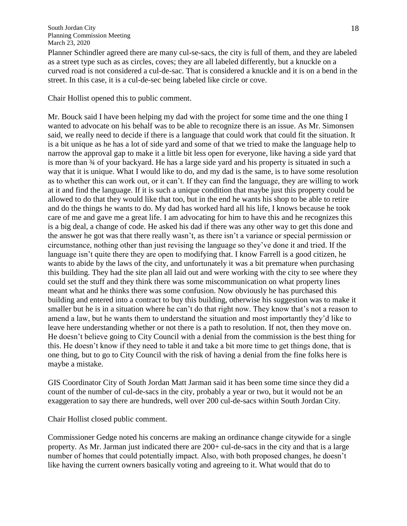Planner Schindler agreed there are many cul-se-sacs, the city is full of them, and they are labeled as a street type such as as circles, coves; they are all labeled differently, but a knuckle on a curved road is not considered a cul-de-sac. That is considered a knuckle and it is on a bend in the street. In this case, it is a cul-de-sec being labeled like circle or cove.

Chair Hollist opened this to public comment.

Mr. Bouck said I have been helping my dad with the project for some time and the one thing I wanted to advocate on his behalf was to be able to recognize there is an issue. As Mr. Simonsen said, we really need to decide if there is a language that could work that could fit the situation. It is a bit unique as he has a lot of side yard and some of that we tried to make the language help to narrow the approval gap to make it a little bit less open for everyone, like having a side yard that is more than ¾ of your backyard. He has a large side yard and his property is situated in such a way that it is unique. What I would like to do, and my dad is the same, is to have some resolution as to whether this can work out, or it can't. If they can find the language, they are willing to work at it and find the language. If it is such a unique condition that maybe just this property could be allowed to do that they would like that too, but in the end he wants his shop to be able to retire and do the things he wants to do. My dad has worked hard all his life, I knows because he took care of me and gave me a great life. I am advocating for him to have this and he recognizes this is a big deal, a change of code. He asked his dad if there was any other way to get this done and the answer he got was that there really wasn't, as there isn't a variance or special permission or circumstance, nothing other than just revising the language so they've done it and tried. If the language isn't quite there they are open to modifying that. I know Farrell is a good citizen, he wants to abide by the laws of the city, and unfortunately it was a bit premature when purchasing this building. They had the site plan all laid out and were working with the city to see where they could set the stuff and they think there was some miscommunication on what property lines meant what and he thinks there was some confusion. Now obviously he has purchased this building and entered into a contract to buy this building, otherwise his suggestion was to make it smaller but he is in a situation where he can't do that right now. They know that's not a reason to amend a law, but he wants them to understand the situation and most importantly they'd like to leave here understanding whether or not there is a path to resolution. If not, then they move on. He doesn't believe going to City Council with a denial from the commission is the best thing for this. He doesn't know if they need to table it and take a bit more time to get things done, that is one thing, but to go to City Council with the risk of having a denial from the fine folks here is maybe a mistake.

GIS Coordinator City of South Jordan Matt Jarman said it has been some time since they did a count of the number of cul-de-sacs in the city, probably a year or two, but it would not be an exaggeration to say there are hundreds, well over 200 cul-de-sacs within South Jordan City.

Chair Hollist closed public comment.

Commissioner Gedge noted his concerns are making an ordinance change citywide for a single property. As Mr. Jarman just indicated there are 200+ cul-de-sacs in the city and that is a large number of homes that could potentially impact. Also, with both proposed changes, he doesn't like having the current owners basically voting and agreeing to it. What would that do to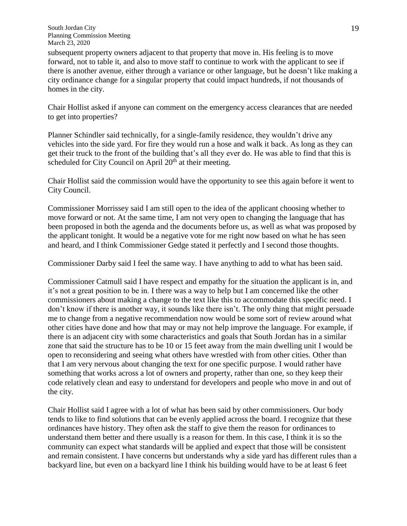subsequent property owners adjacent to that property that move in. His feeling is to move forward, not to table it, and also to move staff to continue to work with the applicant to see if there is another avenue, either through a variance or other language, but he doesn't like making a city ordinance change for a singular property that could impact hundreds, if not thousands of homes in the city.

Chair Hollist asked if anyone can comment on the emergency access clearances that are needed to get into properties?

Planner Schindler said technically, for a single-family residence, they wouldn't drive any vehicles into the side yard. For fire they would run a hose and walk it back. As long as they can get their truck to the front of the building that's all they ever do. He was able to find that this is scheduled for City Council on April 20<sup>th</sup> at their meeting.

Chair Hollist said the commission would have the opportunity to see this again before it went to City Council.

Commissioner Morrissey said I am still open to the idea of the applicant choosing whether to move forward or not. At the same time, I am not very open to changing the language that has been proposed in both the agenda and the documents before us, as well as what was proposed by the applicant tonight. It would be a negative vote for me right now based on what he has seen and heard, and I think Commissioner Gedge stated it perfectly and I second those thoughts.

Commissioner Darby said I feel the same way. I have anything to add to what has been said.

Commissioner Catmull said I have respect and empathy for the situation the applicant is in, and it's not a great position to be in. I there was a way to help but I am concerned like the other commissioners about making a change to the text like this to accommodate this specific need. I don't know if there is another way, it sounds like there isn't. The only thing that might persuade me to change from a negative recommendation now would be some sort of review around what other cities have done and how that may or may not help improve the language. For example, if there is an adjacent city with some characteristics and goals that South Jordan has in a similar zone that said the structure has to be 10 or 15 feet away from the main dwelling unit I would be open to reconsidering and seeing what others have wrestled with from other cities. Other than that I am very nervous about changing the text for one specific purpose. I would rather have something that works across a lot of owners and property, rather than one, so they keep their code relatively clean and easy to understand for developers and people who move in and out of the city.

Chair Hollist said I agree with a lot of what has been said by other commissioners. Our body tends to like to find solutions that can be evenly applied across the board. I recognize that these ordinances have history. They often ask the staff to give them the reason for ordinances to understand them better and there usually is a reason for them. In this case, I think it is so the community can expect what standards will be applied and expect that those will be consistent and remain consistent. I have concerns but understands why a side yard has different rules than a backyard line, but even on a backyard line I think his building would have to be at least 6 feet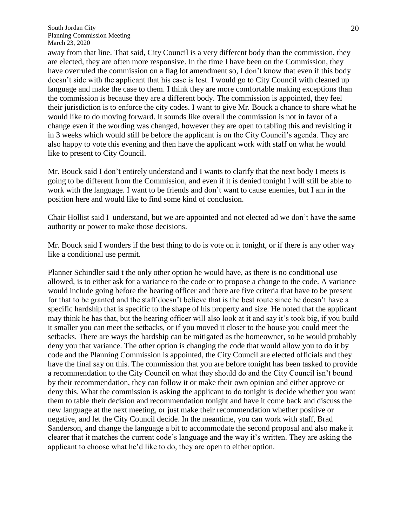away from that line. That said, City Council is a very different body than the commission, they are elected, they are often more responsive. In the time I have been on the Commission, they have overruled the commission on a flag lot amendment so, I don't know that even if this body doesn't side with the applicant that his case is lost. I would go to City Council with cleaned up language and make the case to them. I think they are more comfortable making exceptions than the commission is because they are a different body. The commission is appointed, they feel their jurisdiction is to enforce the city codes. I want to give Mr. Bouck a chance to share what he would like to do moving forward. It sounds like overall the commission is not in favor of a change even if the wording was changed, however they are open to tabling this and revisiting it in 3 weeks which would still be before the applicant is on the City Council's agenda. They are also happy to vote this evening and then have the applicant work with staff on what he would like to present to City Council.

Mr. Bouck said I don't entirely understand and I wants to clarify that the next body I meets is going to be different from the Commission, and even if it is denied tonight I will still be able to work with the language. I want to be friends and don't want to cause enemies, but I am in the position here and would like to find some kind of conclusion.

Chair Hollist said I understand, but we are appointed and not elected ad we don't have the same authority or power to make those decisions.

Mr. Bouck said I wonders if the best thing to do is vote on it tonight, or if there is any other way like a conditional use permit.

Planner Schindler said t the only other option he would have, as there is no conditional use allowed, is to either ask for a variance to the code or to propose a change to the code. A variance would include going before the hearing officer and there are five criteria that have to be present for that to be granted and the staff doesn't believe that is the best route since he doesn't have a specific hardship that is specific to the shape of his property and size. He noted that the applicant may think he has that, but the hearing officer will also look at it and say it's took big, if you build it smaller you can meet the setbacks, or if you moved it closer to the house you could meet the setbacks. There are ways the hardship can be mitigated as the homeowner, so he would probably deny you that variance. The other option is changing the code that would allow you to do it by code and the Planning Commission is appointed, the City Council are elected officials and they have the final say on this. The commission that you are before tonight has been tasked to provide a recommendation to the City Council on what they should do and the City Council isn't bound by their recommendation, they can follow it or make their own opinion and either approve or deny this. What the commission is asking the applicant to do tonight is decide whether you want them to table their decision and recommendation tonight and have it come back and discuss the new language at the next meeting, or just make their recommendation whether positive or negative, and let the City Council decide. In the meantime, you can work with staff, Brad Sanderson, and change the language a bit to accommodate the second proposal and also make it clearer that it matches the current code's language and the way it's written. They are asking the applicant to choose what he'd like to do, they are open to either option.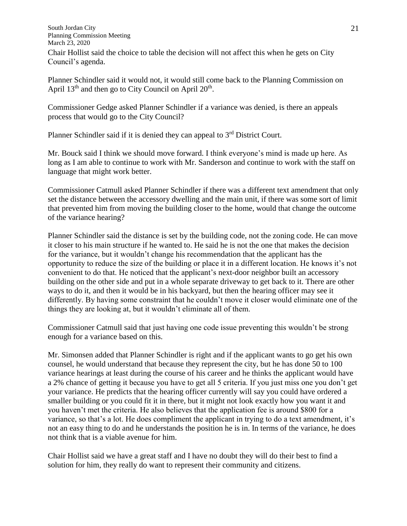South Jordan City Planning Commission Meeting March 23, 2020 Chair Hollist said the choice to table the decision will not affect this when he gets on City Council's agenda.

Planner Schindler said it would not, it would still come back to the Planning Commission on April  $13<sup>th</sup>$  and then go to City Council on April  $20<sup>th</sup>$ .

Commissioner Gedge asked Planner Schindler if a variance was denied, is there an appeals process that would go to the City Council?

Planner Schindler said if it is denied they can appeal to 3<sup>rd</sup> District Court.

Mr. Bouck said I think we should move forward. I think everyone's mind is made up here. As long as I am able to continue to work with Mr. Sanderson and continue to work with the staff on language that might work better.

Commissioner Catmull asked Planner Schindler if there was a different text amendment that only set the distance between the accessory dwelling and the main unit, if there was some sort of limit that prevented him from moving the building closer to the home, would that change the outcome of the variance hearing?

Planner Schindler said the distance is set by the building code, not the zoning code. He can move it closer to his main structure if he wanted to. He said he is not the one that makes the decision for the variance, but it wouldn't change his recommendation that the applicant has the opportunity to reduce the size of the building or place it in a different location. He knows it's not convenient to do that. He noticed that the applicant's next-door neighbor built an accessory building on the other side and put in a whole separate driveway to get back to it. There are other ways to do it, and then it would be in his backyard, but then the hearing officer may see it differently. By having some constraint that he couldn't move it closer would eliminate one of the things they are looking at, but it wouldn't eliminate all of them.

Commissioner Catmull said that just having one code issue preventing this wouldn't be strong enough for a variance based on this.

Mr. Simonsen added that Planner Schindler is right and if the applicant wants to go get his own counsel, he would understand that because they represent the city, but he has done 50 to 100 variance hearings at least during the course of his career and he thinks the applicant would have a 2% chance of getting it because you have to get all 5 criteria. If you just miss one you don't get your variance. He predicts that the hearing officer currently will say you could have ordered a smaller building or you could fit it in there, but it might not look exactly how you want it and you haven't met the criteria. He also believes that the application fee is around \$800 for a variance, so that's a lot. He does compliment the applicant in trying to do a text amendment, it's not an easy thing to do and he understands the position he is in. In terms of the variance, he does not think that is a viable avenue for him.

Chair Hollist said we have a great staff and I have no doubt they will do their best to find a solution for him, they really do want to represent their community and citizens.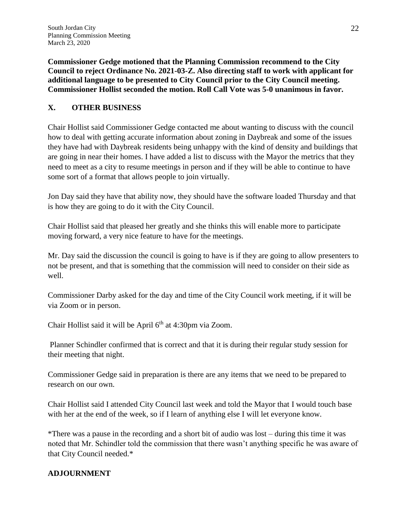**Commissioner Gedge motioned that the Planning Commission recommend to the City Council to reject Ordinance No. 2021-03-Z. Also directing staff to work with applicant for additional language to be presented to City Council prior to the City Council meeting. Commissioner Hollist seconded the motion. Roll Call Vote was 5-0 unanimous in favor.**

# **X. OTHER BUSINESS**

Chair Hollist said Commissioner Gedge contacted me about wanting to discuss with the council how to deal with getting accurate information about zoning in Daybreak and some of the issues they have had with Daybreak residents being unhappy with the kind of density and buildings that are going in near their homes. I have added a list to discuss with the Mayor the metrics that they need to meet as a city to resume meetings in person and if they will be able to continue to have some sort of a format that allows people to join virtually.

Jon Day said they have that ability now, they should have the software loaded Thursday and that is how they are going to do it with the City Council.

Chair Hollist said that pleased her greatly and she thinks this will enable more to participate moving forward, a very nice feature to have for the meetings.

Mr. Day said the discussion the council is going to have is if they are going to allow presenters to not be present, and that is something that the commission will need to consider on their side as well.

Commissioner Darby asked for the day and time of the City Council work meeting, if it will be via Zoom or in person.

Chair Hollist said it will be April  $6<sup>th</sup>$  at 4:30pm via Zoom.

Planner Schindler confirmed that is correct and that it is during their regular study session for their meeting that night.

Commissioner Gedge said in preparation is there are any items that we need to be prepared to research on our own.

Chair Hollist said I attended City Council last week and told the Mayor that I would touch base with her at the end of the week, so if I learn of anything else I will let everyone know.

\*There was a pause in the recording and a short bit of audio was lost – during this time it was noted that Mr. Schindler told the commission that there wasn't anything specific he was aware of that City Council needed.\*

# **ADJOURNMENT**